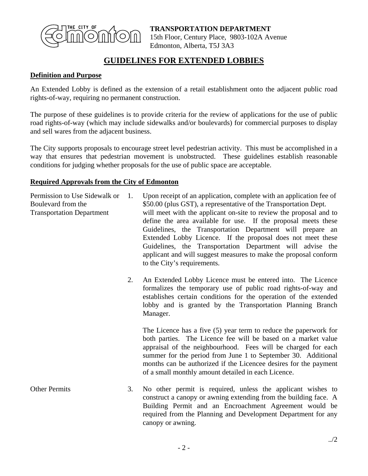

**TRANSPORTATION DEPARTMENT** 15th Floor, Century Place, 9803-102A Avenue Edmonton, Alberta, T5J 3A3

## **GUIDELINES FOR EXTENDED LOBBIES**

## **Definition and Purpose**

An Extended Lobby is defined as the extension of a retail establishment onto the adjacent public road rights-of-way, requiring no permanent construction.

The purpose of these guidelines is to provide criteria for the review of applications for the use of public road rights-of-way (which may include sidewalks and/or boulevards) for commercial purposes to display and sell wares from the adjacent business.

The City supports proposals to encourage street level pedestrian activity. This must be accomplished in a way that ensures that pedestrian movement is unobstructed. These guidelines establish reasonable conditions for judging whether proposals for the use of public space are acceptable.

## **Required Approvals from the City of Edmonton**

| Permission to Use Sidewalk or    | Upon receipt of an application, complete with an application fee of |
|----------------------------------|---------------------------------------------------------------------|
| Boulevard from the               | \$50.00 (plus GST), a representative of the Transportation Dept.    |
| <b>Transportation Department</b> | will meet with the applicant on-site to review the proposal and to  |
|                                  | define the area available for use. If the proposal meets these      |
|                                  | Guidelines, the Transportation Department will prepare an           |
|                                  | Extended Lobby Licence. If the proposal does not meet these         |
|                                  | Guidelines, the Transportation Department will advise the           |
|                                  | applicant and will suggest measures to make the proposal conform    |
|                                  | to the City's requirements.                                         |
|                                  |                                                                     |

2. An Extended Lobby Licence must be entered into. The Licence formalizes the temporary use of public road rights-of-way and establishes certain conditions for the operation of the extended lobby and is granted by the Transportation Planning Branch Manager.

 The Licence has a five (5) year term to reduce the paperwork for both parties. The Licence fee will be based on a market value appraisal of the neighbourhood. Fees will be charged for each summer for the period from June 1 to September 30. Additional months can be authorized if the Licencee desires for the payment of a small monthly amount detailed in each Licence.

Other Permits 3. No other permit is required, unless the applicant wishes to construct a canopy or awning extending from the building face. A Building Permit and an Encroachment Agreement would be required from the Planning and Development Department for any canopy or awning.